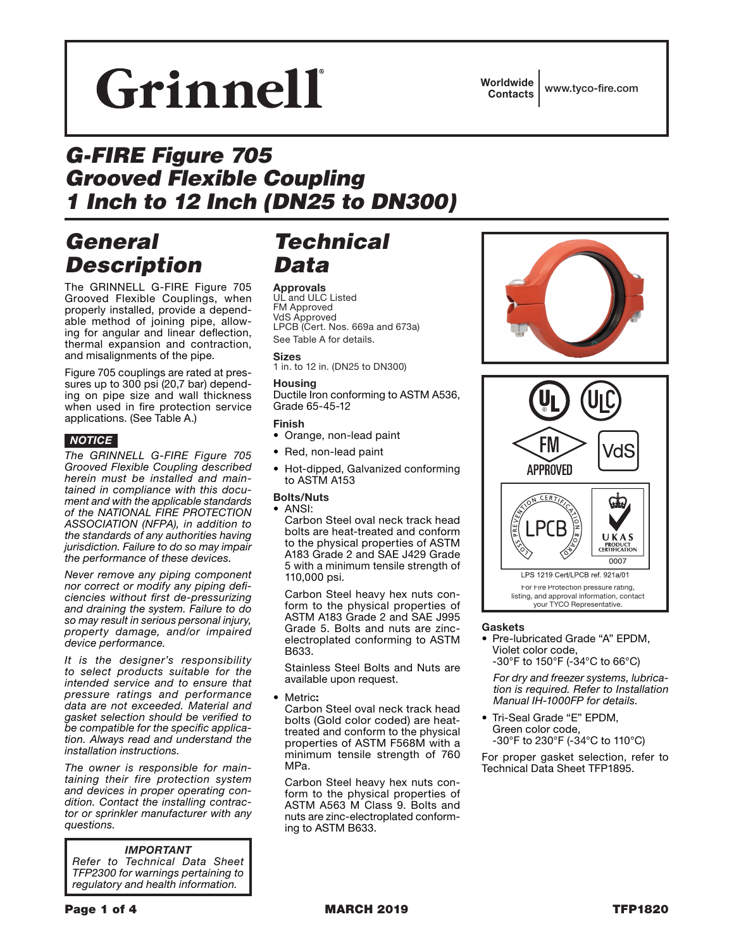# Grinnell

Worldwide Contacts www.tyco-fire.com

# *G-FIRE Figure 705 Grooved Flexible Coupling 1 Inch to 12 Inch (DN25 to DN300)*

## *General Description*

The GRINNELL G-FIRE Figure 705 Grooved Flexible Couplings, when properly installed, provide a dependable method of joining pipe, allowing for angular and linear deflection, thermal expansion and contraction, and misalignments of the pipe.

Figure 705 couplings are rated at pressures up to 300 psi (20,7 bar) depending on pipe size and wall thickness when used in fire protection service applications. (See Table A.)

### *NOTICE*

*The GRINNELL G-FIRE Figure 705 Grooved Flexible Coupling described herein must be installed and maintained in compliance with this document and with the applicable standards of the NATIONAL FIRE PROTECTION ASSOCIATION (NFPA), in addition to the standards of any authorities having jurisdiction. Failure to do so may impair the performance of these devices.*

*Never remove any piping component nor correct or modify any piping deficiencies without first de-pressurizing and draining the system. Failure to do so may result in serious personal injury, property damage, and/or impaired device performance.*

*It is the designer's responsibility to select products suitable for the intended service and to ensure that pressure ratings and performance data are not exceeded. Material and gasket selection should be verified to be compatible for the specific application. Always read and understand the installation instructions.*

*The owner is responsible for maintaining their fire protection system and devices in proper operating condition. Contact the installing contractor or sprinkler manufacturer with any questions.*

#### *IMPORTANT*

*Refer to Technical Data Sheet TFP2300 for warnings pertaining to regulatory and health information.*

## *Technical Data*

#### Approvals

UL and ULC Listed FM Approved VdS Approved LPCB (Cert. Nos. 669a and 673a) See Table A for details.

## Sizes

1 in. to 12 in. (DN25 to DN300)

#### **Housing**

Ductile Iron conforming to ASTM A536, Grade 65-45-12

#### Finish

- Orange, non-lead paint
- Red, non-lead paint
- Hot-dipped, Galvanized conforming to ASTM A153

#### Bolts/Nuts

• ANSI:

Carbon Steel oval neck track head bolts are heat-treated and conform to the physical properties of ASTM A183 Grade 2 and SAE J429 Grade 5 with a minimum tensile strength of 110,000 psi.

Carbon Steel heavy hex nuts conform to the physical properties of ASTM A183 Grade 2 and SAE J995 Grade 5. Bolts and nuts are zincelectroplated conforming to ASTM B633.

Stainless Steel Bolts and Nuts are available upon request.

• Metric:

Carbon Steel oval neck track head bolts (Gold color coded) are heattreated and conform to the physical properties of ASTM F568M with a minimum tensile strength of 760 MPa.

Carbon Steel heavy hex nuts conform to the physical properties of ASTM A563 M Class 9. Bolts and nuts are zinc-electroplated conforming to ASTM B633.





#### **Gaskets**

• Pre-lubricated Grade "A" EPDM, Violet color code, -30°F to 150°F (-34°C to 66°C)

*For dry and freezer systems, lubrication is required. Refer to Installation Manual IH-1000FP for details.*

• Tri-Seal Grade "E" EPDM, Green color code, -30°F to 230°F (-34°C to 110°C)

For proper gasket selection, refer to Technical Data Sheet TFP1895.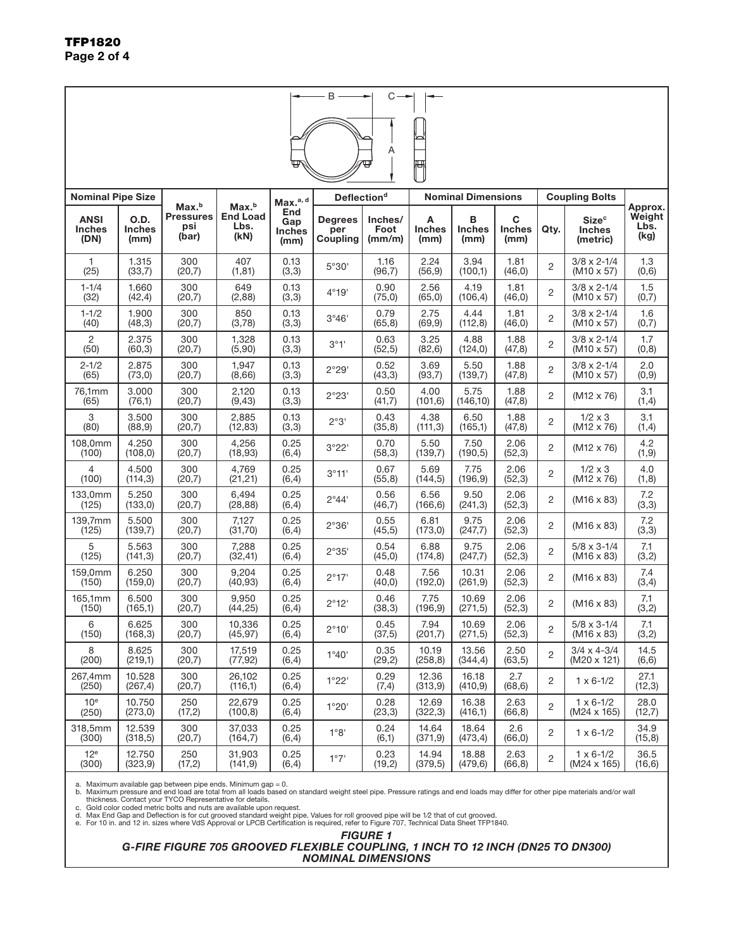| $B -$<br>С<br>Α<br>冊<br>⊕<br>℡       |                               |                                  |                                                      |                                     |                            |                           |                            |                            |                                      |                       |                                                |                                   |
|--------------------------------------|-------------------------------|----------------------------------|------------------------------------------------------|-------------------------------------|----------------------------|---------------------------|----------------------------|----------------------------|--------------------------------------|-----------------------|------------------------------------------------|-----------------------------------|
| <b>Nominal Pipe Size</b>             |                               | Max.b                            |                                                      | Max. <sup>a, d</sup>                | <b>Deflectiond</b>         |                           | <b>Nominal Dimensions</b>  |                            |                                      | <b>Coupling Bolts</b> |                                                |                                   |
| <b>ANSI</b><br><b>Inches</b><br>(DN) | O.D.<br><b>Inches</b><br>(mm) | <b>Pressures</b><br>psi<br>(bar) | Max. <sup>b</sup><br><b>End Load</b><br>Lbs.<br>(kN) | End<br>Gap<br><b>Inches</b><br>(mm) | Degrees<br>per<br>Coupling | Inches/<br>Foot<br>(mm/m) | A<br><b>Inches</b><br>(mm) | в<br><b>Inches</b><br>(mm) | $\mathbf C$<br><b>Inches</b><br>(mm) | Qty.                  | <b>Size</b> <sup>c</sup><br>Inches<br>(metric) | Approx.<br>Weight<br>Lbs.<br>(kg) |
| $\mathbf{1}$<br>(25)                 | 1.315<br>(33,7)               | 300<br>(20,7)                    | 407<br>(1, 81)                                       | 0.13<br>(3,3)                       | 5°30'                      | 1.16<br>(96,7)            | 2.24<br>(56, 9)            | 3.94<br>(100,1)            | 1.81<br>(46, 0)                      | 2                     | $3/8 \times 2 - 1/4$<br>$(M10 \times 57)$      | 1.3<br>(0, 6)                     |
| $1 - 1/4$<br>(32)                    | 1.660<br>(42, 4)              | 300<br>(20,7)                    | 649<br>(2, 88)                                       | 0.13<br>(3,3)                       | 4°19'                      | 0.90<br>(75, 0)           | 2.56<br>(65, 0)            | 4.19<br>(106, 4)           | 1.81<br>(46, 0)                      | 2                     | $3/8 \times 2 - 1/4$<br>(M10 x 57)             | 1.5<br>(0,7)                      |
| $1 - 1/2$<br>(40)                    | 1.900<br>(48,3)               | 300<br>(20,7)                    | 850<br>(3,78)                                        | 0.13<br>(3,3)                       | 3°46'                      | 0.79<br>(65, 8)           | 2.75<br>(69, 9)            | 4.44<br>(112, 8)           | 1.81<br>(46, 0)                      | 2                     | $3/8 \times 2 - 1/4$<br>$(M10 \times 57)$      | 1.6<br>(0,7)                      |
| 2<br>(50)                            | 2.375<br>(60, 3)              | 300<br>(20,7)                    | 1,328<br>(5,90)                                      | 0.13<br>(3,3)                       | 3°1'                       | 0.63<br>(52, 5)           | 3.25<br>(82, 6)            | 4.88<br>(124, 0)           | 1.88<br>(47, 8)                      | 2                     | $3/8 \times 2 - 1/4$<br>$(M10 \times 57)$      | 1.7<br>(0,8)                      |
| $2 - 1/2$<br>(65)                    | 2.875<br>(73, 0)              | 300<br>(20,7)                    | 1,947<br>(8,66)                                      | 0.13<br>(3,3)                       | 2°29'                      | 0.52<br>(43,3)            | 3.69<br>(93,7)             | 5.50<br>(139,7)            | 1.88<br>(47, 8)                      | 2                     | $3/8 \times 2 - 1/4$<br>$(M10 \times 57)$      | 2.0<br>(0, 9)                     |
| 76,1mm<br>(65)                       | 3.000<br>(76,1)               | 300<br>(20,7)                    | 2,120<br>(9, 43)                                     | 0.13<br>(3,3)                       | 2°23'                      | 0.50<br>(41,7)            | 4.00<br>(101, 6)           | 5.75<br>(146, 10)          | 1.88<br>(47, 8)                      | 2                     | $(M12 \times 76)$                              | 3.1<br>(1,4)                      |
| 3<br>(80)                            | 3.500<br>(88, 9)              | 300<br>(20,7)                    | 2,885<br>(12, 83)                                    | 0.13<br>(3,3)                       | 2°3'                       | 0.43<br>(35, 8)           | 4.38<br>(111, 3)           | 6.50<br>(165,1)            | 1.88<br>(47, 8)                      | 2                     | $1/2 \times 3$<br>$(M12 \times 76)$            | 3.1<br>(1,4)                      |
| 108,0mm<br>(100)                     | 4.250<br>(108, 0)             | 300<br>(20,7)                    | 4,256<br>(18, 93)                                    | 0.25<br>(6, 4)                      | 3°22'                      | 0.70<br>(58,3)            | 5.50<br>(139,7)            | 7.50<br>(190, 5)           | 2.06<br>(52, 3)                      | 2                     | $(M12 \times 76)$                              | 4.2<br>(1, 9)                     |
| 4<br>(100)                           | 4.500<br>(114, 3)             | 300<br>(20,7)                    | 4,769<br>(21, 21)                                    | 0.25<br>(6, 4)                      | 3°11'                      | 0.67<br>(55, 8)           | 5.69<br>(144, 5)           | 7.75<br>(196, 9)           | 2.06<br>(52,3)                       | 2                     | $1/2 \times 3$<br>$(M12 \times 76)$            | 4.0<br>(1, 8)                     |
| 133,0mm<br>(125)                     | 5.250<br>(133,0)              | 300<br>(20,7)                    | 6,494<br>(28, 88)                                    | 0.25<br>(6, 4)                      | 2°44'                      | 0.56<br>(46,7)            | 6.56<br>(166, 6)           | 9.50<br>(241, 3)           | 2.06<br>(52, 3)                      | $\overline{2}$        | $(M16 \times 83)$                              | 7.2<br>(3, 3)                     |
| 139,7mm<br>(125)                     | 5.500<br>(139,7)              | 300<br>(20,7)                    | 7,127<br>(31, 70)                                    | 0.25<br>(6, 4)                      | 2°36'                      | 0.55<br>(45, 5)           | 6.81<br>(173, 0)           | 9.75<br>(247,7)            | 2.06<br>(52,3)                       | 2                     | $(M16 \times 83)$                              | 7.2<br>(3,3)                      |
| 5<br>(125)                           | 5.563<br>(141, 3)             | 300<br>(20,7)                    | 7,288<br>(32, 41)                                    | 0.25<br>(6, 4)                      | 2°35'                      | 0.54<br>(45, 0)           | 6.88<br>(174, 8)           | 9.75<br>(247,7)            | 2.06<br>(52,3)                       | $\overline{2}$        | $5/8 \times 3 - 1/4$<br>$(M16 \times 83)$      | 7.1<br>(3,2)                      |
| 159,0mm<br>(150)                     | 6.250<br>(159, 0)             | 300<br>(20,7)                    | 9,204<br>(40, 93)                                    | 0.25<br>(6, 4)                      | 2°17'                      | 0.48<br>(40, 0)           | 7.56<br>(192, 0)           | 10.31<br>(261, 9)          | 2.06<br>(52,3)                       | 2                     | $(M16 \times 83)$                              | 7.4<br>(3,4)                      |
| 165,1mm<br>(150)                     | 6.500<br>(165,1)              | 300<br>(20,7)                    | 9,950<br>(44, 25)                                    | 0.25<br>(6, 4)                      | 2°12'                      | 0.46<br>(38,3)            | 7.75<br>(196, 9)           | 10.69<br>(271, 5)          | 2.06<br>(52,3)                       | 2                     | (M16 x 83)                                     | 7.1<br>(3,2)                      |
| 6<br>(150)                           | 6.625<br>(168, 3)             | 300<br>(20,7)                    | 10,336<br>(45, 97)                                   | 0.25<br>(6, 4)                      | 2°10'                      | 0.45<br>(37,5)            | 7.94<br>(201,7)            | 10.69<br>(271, 5)          | 2.06<br>(52,3)                       | 2                     | $5/8 \times 3 - 1/4$<br>$(M16 \times 83)$      | 7.1<br>(3,2)                      |
| 8<br>(200)                           | 8.625<br>(219,1)              | 300<br>(20,7)                    | 17,519<br>(77, 92)                                   | 0.25<br>(6,4)                       | 1°40'                      | 0.35<br>(29, 2)           | 10.19<br>(258, 8)          | 13.56<br>(344, 4)          | 2.50<br>(63, 5)                      | 2                     | $3/4 \times 4 - 3/4$<br>(M20 x 121)            | 14.5<br>(6, 6)                    |
| 267,4mm<br>(250)                     | 10.528<br>(267, 4)            | 300<br>(20,7)                    | 26,102<br>(116,1)                                    | 0.25<br>(6, 4)                      | 1°22'                      | 0.29<br>(7, 4)            | 12.36<br>(313, 9)          | 16.18<br>(410, 9)          | 2.7<br>(68, 6)                       | 2                     | $1 \times 6 - 1/2$                             | 27.1<br>(12,3)                    |
| 10 <sup>e</sup><br>(250)             | 10.750<br>(273,0)             | 250<br>(17,2)                    | 22,679<br>(100, 8)                                   | 0.25<br>(6, 4)                      | 1°20'                      | 0.28<br>(23,3)            | 12.69<br>(322,3)           | 16.38<br>(416,1)           | 2.63<br>(66, 8)                      | $\overline{2}$        | $1 \times 6 - 1/2$<br>(M24 x 165)              | 28.0<br>(12,7)                    |
| 318,5mm<br>(300)                     | 12.539<br>(318, 5)            | 300<br>(20,7)                    | 37,033<br>(164,7)                                    | 0.25<br>(6,4)                       | 1°8'                       | 0.24<br>(6,1)             | 14.64<br>(371, 9)          | 18.64<br>(473, 4)          | 2.6<br>(66, 0)                       | 2                     | $1 \times 6 - 1/2$                             | 34.9<br>(15, 8)                   |
| $12^e$<br>(300)                      | 12.750<br>(323, 9)            | 250<br>(17, 2)                   | 31,903<br>(141, 9)                                   | 0.25<br>(6, 4)                      | 1°7'                       | 0.23<br>(19,2)            | 14.94<br>(379, 5)          | 18.88<br>(479, 6)          | 2.63<br>(66, 8)                      | $\overline{c}$        | $1 \times 6 - 1/2$<br>(M24 x 165)              | 36.5<br>(16, 6)                   |

a. Maximum available gap between pipe ends. Minimum gap = 0.<br>b. Maximum pressure and end load are total from all loads based on standard weight steel pipe. Pressure ratings and end loads may differ for other pipe materials

*FIGURE 1*

#### *G-FIRE FIGURE 705 GROOVED FLEXIBLE COUPLING, 1 INCH TO 12 INCH (DN25 TO DN300) NOMINAL DIMENSIONS*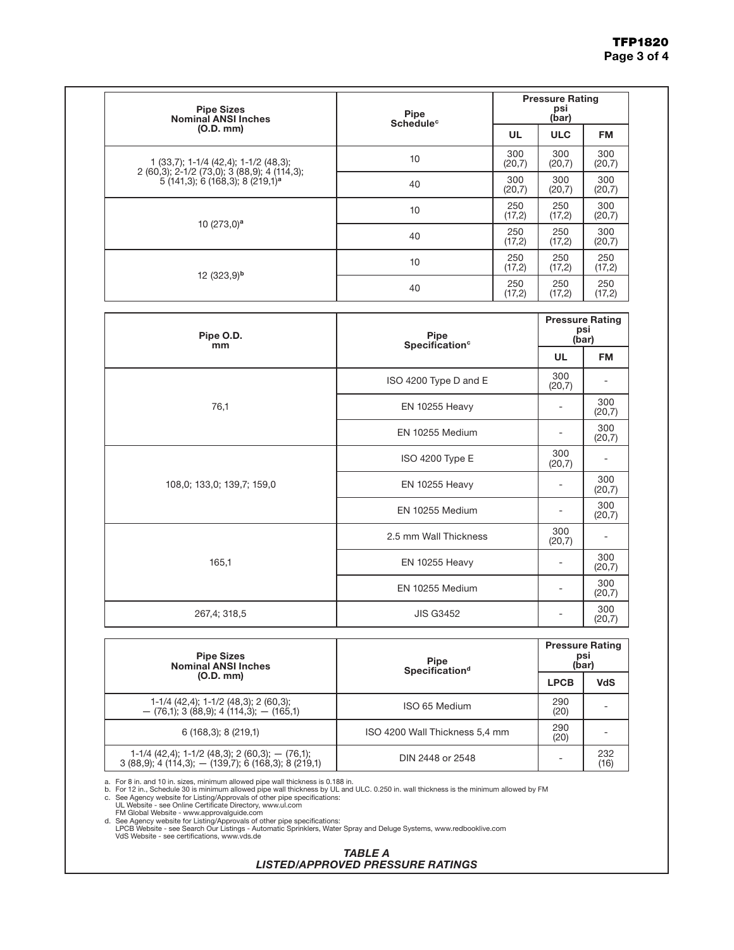| <b>Pipe Sizes</b><br><b>Nominal ANSI Inches</b>                                                    | <b>Pipe</b><br><b>Schedule<sup>c</sup></b> | <b>Pressure Rating</b><br>psi<br>(bar) |               |               |  |
|----------------------------------------------------------------------------------------------------|--------------------------------------------|----------------------------------------|---------------|---------------|--|
| (O.D. mm)                                                                                          |                                            | UL                                     | <b>ULC</b>    | <b>FM</b>     |  |
| $1(33,7)$ ; $1-1/4(42,4)$ ; $1-1/2(48,3)$ ;                                                        | 10                                         | 300<br>(20,7)                          | 300<br>(20,7) | 300<br>(20,7) |  |
| 2 (60, 3); 2-1/2 (73, 0); 3 (88, 9); 4 (114, 3);<br>$5(141,3)$ ; 6 (168,3); 8 (219,1) <sup>a</sup> | 40                                         | 300<br>(20,7)                          | 300<br>(20,7) | 300<br>(20,7) |  |
|                                                                                                    | 10                                         | 250<br>(17,2)                          | 250<br>(17,2) | 300<br>(20,7) |  |
| 10 $(273,0)^a$                                                                                     | 40                                         | 250<br>(17,2)                          | 250<br>(17,2) | 300<br>(20,7) |  |
|                                                                                                    | 10                                         | 250<br>(17,2)                          | 250<br>(17,2) | 250<br>(17,2) |  |
| 12 $(323,9)^b$                                                                                     | 40                                         | 250<br>(17,2)                          | 250<br>(17,2) | 250<br>(17,2) |  |

| Pipe O.D.<br>mm            | Pipe<br>Specification <sup>c</sup> | <b>Pressure Rating</b><br>psi<br>(bar) |               |
|----------------------------|------------------------------------|----------------------------------------|---------------|
|                            |                                    | UL                                     | <b>FM</b>     |
|                            | ISO 4200 Type D and E              | 300<br>(20,7)                          |               |
| 76,1                       | <b>EN 10255 Heavy</b>              |                                        | 300<br>(20,7) |
|                            | EN 10255 Medium                    |                                        | 300<br>(20,7) |
|                            | ISO 4200 Type E                    | 300<br>(20,7)                          |               |
| 108,0; 133,0; 139,7; 159,0 | <b>EN 10255 Heavy</b>              |                                        | 300<br>(20,7) |
|                            | EN 10255 Medium                    |                                        | 300<br>(20,7) |
|                            | 2.5 mm Wall Thickness              | 300<br>(20,7)                          |               |
| 165,1                      | <b>EN 10255 Heavy</b>              |                                        | 300<br>(20,7) |
|                            | EN 10255 Medium                    |                                        | 300<br>(20,7) |
| 267,4; 318,5               | <b>JIS G3452</b>                   |                                        | 300<br>(20,7) |

| <b>Pipe Sizes</b><br><b>Nominal ANSI Inches</b>                                                             | <b>Pipe</b><br>Specification <sup>d</sup> | <b>Pressure Rating</b><br>psi<br>(bar) |             |
|-------------------------------------------------------------------------------------------------------------|-------------------------------------------|----------------------------------------|-------------|
| (O.D. mm)                                                                                                   |                                           | <b>LPCB</b>                            | <b>VdS</b>  |
| 1-1/4 (42,4); 1-1/2 (48,3); 2 (60,3);<br>$-$ (76,1), 3 (88,9), 4 (114,3), - (165,1)                         | ISO 65 Medium                             | 290<br>(20)                            |             |
| 6(168,3); 8(219,1)                                                                                          | ISO 4200 Wall Thickness 5,4 mm            | 290<br>(20)                            |             |
| $1-1/4$ (42,4); $1-1/2$ (48,3); 2 (60,3); - (76,1);<br>3 (88,9); 4 (114,3); - (139,7); 6 (168,3); 8 (219,1) | DIN 2448 or 2548                          |                                        | 232<br>(16) |

a. For 8 in. and 10 in. sizes, minimum allowed pipe wall thickness is 0.188 in.<br>
b. For 12 in., Schedule 30 is minimum allowed pipe wall thickness by UL and ULC. 0.250 in. wall thickness is the minimum allowed by FM<br>
c. Se

#### *TABLE A LISTED/APPROVED PRESSURE RATINGS*